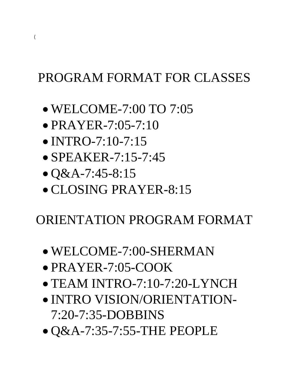## PROGRAM FORMAT FOR CLASSES

- WELCOME-7:00 TO 7:05
- PRAYER-7:05-7:10
- INTRO-7:10-7:15
- SPEAKER-7:15-7:45
- $\bullet$  Q&A-7:45-8:15
- CLOSING PRAYER-8:15

## ORIENTATION PROGRAM FORMAT

- WELCOME-7:00-SHERMAN
- PRAYER-7:05-COOK
- TEAM INTRO-7:10-7:20-LYNCH
- INTRO VISION/ORIENTATION-7:20-7:35-DOBBINS
- Q&A-7:35-7:55-THE PEOPLE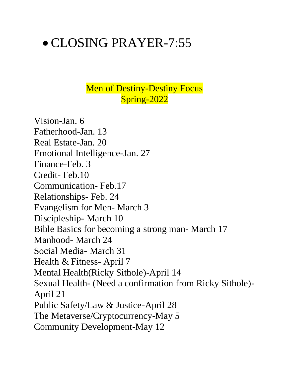# • CLOSING PRAYER-7:55

### Men of Destiny-Destiny Focus Spring-2022

Vision-Jan. 6 Fatherhood-Jan. 13 Real Estate-Jan. 20 Emotional Intelligence-Jan. 27 Finance-Feb. 3 Credit- Feb.10 Communication- Feb.17 Relationships- Feb. 24 Evangelism for Men- March 3 Discipleship- March 10 Bible Basics for becoming a strong man- March 17 Manhood- March 24 Social Media- March 31 Health & Fitness- April 7 Mental Health(Ricky Sithole)-April 14 Sexual Health- (Need a confirmation from Ricky Sithole)- April 21 Public Safety/Law & Justice-April 28 The Metaverse/Cryptocurrency-May 5 Community Development-May 12